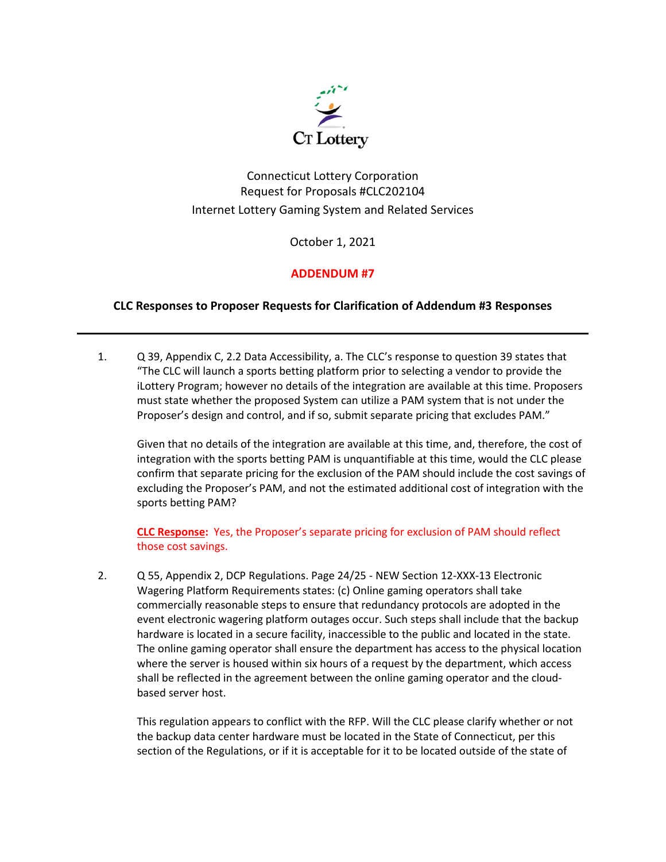

## Connecticut Lottery Corporation Request for Proposals #CLC202104 Internet Lottery Gaming System and Related Services

October 1, 2021

## **ADDENDUM #7**

## **CLC Responses to Proposer Requests for Clarification of Addendum #3 Responses**

1. Q 39, Appendix C, 2.2 Data Accessibility, a. The CLC's response to question 39 states that "The CLC will launch a sports betting platform prior to selecting a vendor to provide the iLottery Program; however no details of the integration are available at this time. Proposers must state whether the proposed System can utilize a PAM system that is not under the Proposer's design and control, and if so, submit separate pricing that excludes PAM."

Given that no details of the integration are available at this time, and, therefore, the cost of integration with the sports betting PAM is unquantifiable at this time, would the CLC please confirm that separate pricing for the exclusion of the PAM should include the cost savings of excluding the Proposer's PAM, and not the estimated additional cost of integration with the sports betting PAM?

**CLC Response:** Yes, the Proposer's separate pricing for exclusion of PAM should reflect those cost savings.

2. Q 55, Appendix 2, DCP Regulations. Page 24/25 - NEW Section 12-XXX-13 Electronic Wagering Platform Requirements states: (c) Online gaming operators shall take commercially reasonable steps to ensure that redundancy protocols are adopted in the event electronic wagering platform outages occur. Such steps shall include that the backup hardware is located in a secure facility, inaccessible to the public and located in the state. The online gaming operator shall ensure the department has access to the physical location where the server is housed within six hours of a request by the department, which access shall be reflected in the agreement between the online gaming operator and the cloudbased server host.

This regulation appears to conflict with the RFP. Will the CLC please clarify whether or not the backup data center hardware must be located in the State of Connecticut, per this section of the Regulations, or if it is acceptable for it to be located outside of the state of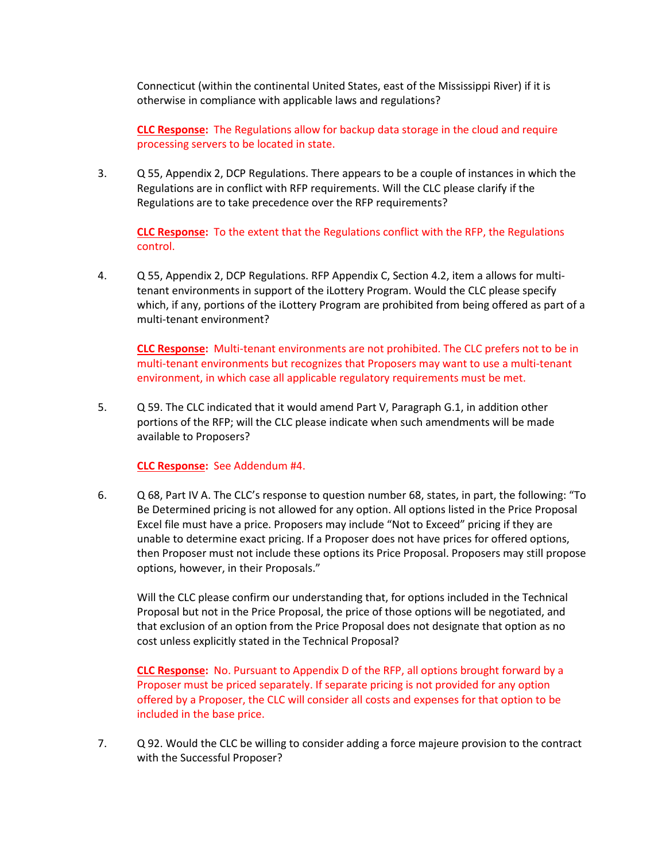Connecticut (within the continental United States, east of the Mississippi River) if it is otherwise in compliance with applicable laws and regulations?

**CLC Response:** The Regulations allow for backup data storage in the cloud and require processing servers to be located in state.

3. Q 55, Appendix 2, DCP Regulations. There appears to be a couple of instances in which the Regulations are in conflict with RFP requirements. Will the CLC please clarify if the Regulations are to take precedence over the RFP requirements?

**CLC Response:** To the extent that the Regulations conflict with the RFP, the Regulations control.

4. Q 55, Appendix 2, DCP Regulations. RFP Appendix C, Section 4.2, item a allows for multitenant environments in support of the iLottery Program. Would the CLC please specify which, if any, portions of the iLottery Program are prohibited from being offered as part of a multi-tenant environment?

**CLC Response:** Multi-tenant environments are not prohibited. The CLC prefers not to be in multi-tenant environments but recognizes that Proposers may want to use a multi-tenant environment, in which case all applicable regulatory requirements must be met.

5. Q 59. The CLC indicated that it would amend Part V, Paragraph G.1, in addition other portions of the RFP; will the CLC please indicate when such amendments will be made available to Proposers?

## **CLC Response:** See Addendum #4.

6. Q 68, Part IV A. The CLC's response to question number 68, states, in part, the following: "To Be Determined pricing is not allowed for any option. All options listed in the Price Proposal Excel file must have a price. Proposers may include "Not to Exceed" pricing if they are unable to determine exact pricing. If a Proposer does not have prices for offered options, then Proposer must not include these options its Price Proposal. Proposers may still propose options, however, in their Proposals."

Will the CLC please confirm our understanding that, for options included in the Technical Proposal but not in the Price Proposal, the price of those options will be negotiated, and that exclusion of an option from the Price Proposal does not designate that option as no cost unless explicitly stated in the Technical Proposal?

**CLC Response:** No. Pursuant to Appendix D of the RFP, all options brought forward by a Proposer must be priced separately. If separate pricing is not provided for any option offered by a Proposer, the CLC will consider all costs and expenses for that option to be included in the base price.

7. Q 92. Would the CLC be willing to consider adding a force majeure provision to the contract with the Successful Proposer?